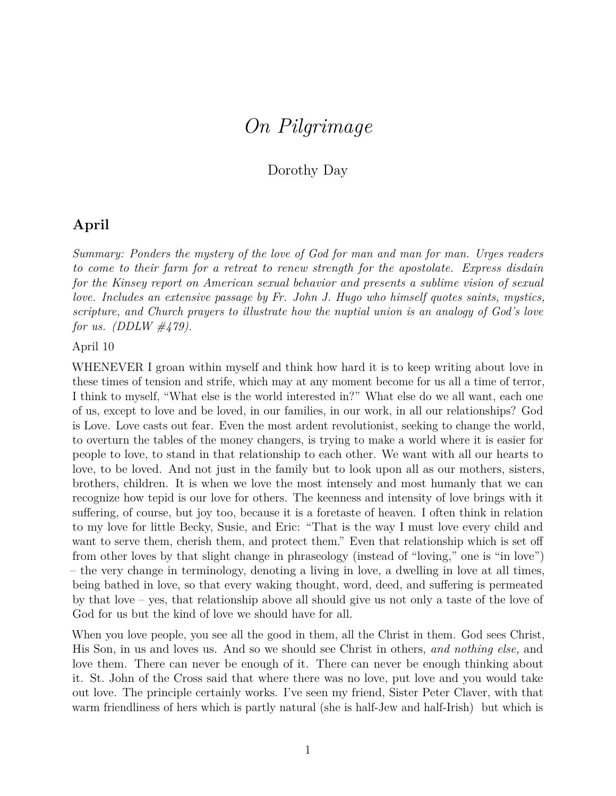# *On Pilgrimage*

## Dorothy Day

### **April**

*Summary: Ponders the mystery of the love of God for man and man for man. Urges readers to come to their farm for a retreat to renew strength for the apostolate. Express disdain for the Kinsey report on American sexual behavior and presents a sublime vision of sexual love. Includes an extensive passage by Fr. John J. Hugo who himself quotes saints, mystics, scripture, and Church prayers to illustrate how the nuptial union is an analogy of God's love for us. (DDLW #479).*

#### April 10

WHENEVER I groan within myself and think how hard it is to keep writing about love in these times of tension and strife, which may at any moment become for us all a time of terror, I think to myself, "What else is the world interested in?" What else do we all want, each one of us, except to love and be loved, in our families, in our work, in all our relationships? God is Love. Love casts out fear. Even the most ardent revolutionist, seeking to change the world, to overturn the tables of the money changers, is trying to make a world where it is easier for people to love, to stand in that relationship to each other. We want with all our hearts to love, to be loved. And not just in the family but to look upon all as our mothers, sisters, brothers, children. It is when we love the most intensely and most humanly that we can recognize how tepid is our love for others. The keenness and intensity of love brings with it suffering, of course, but joy too, because it is a foretaste of heaven. I often think in relation to my love for little Becky, Susie, and Eric: "That is the way I must love every child and want to serve them, cherish them, and protect them." Even that relationship which is set off from other loves by that slight change in phraseology (instead of "loving," one is "in love") – the very change in terminology, denoting a living in love, a dwelling in love at all times, being bathed in love, so that every waking thought, word, deed, and suffering is permeated by that love – yes, that relationship above all should give us not only a taste of the love of God for us but the kind of love we should have for all.

When you love people, you see all the good in them, all the Christ in them. God sees Christ, His Son, in us and loves us. And so we should see Christ in others, *and nothing else,* and love them. There can never be enough of it. There can never be enough thinking about it. St. John of the Cross said that where there was no love, put love and you would take out love. The principle certainly works. I've seen my friend, Sister Peter Claver, with that warm friendliness of hers which is partly natural (she is half-Jew and half-Irish) but which is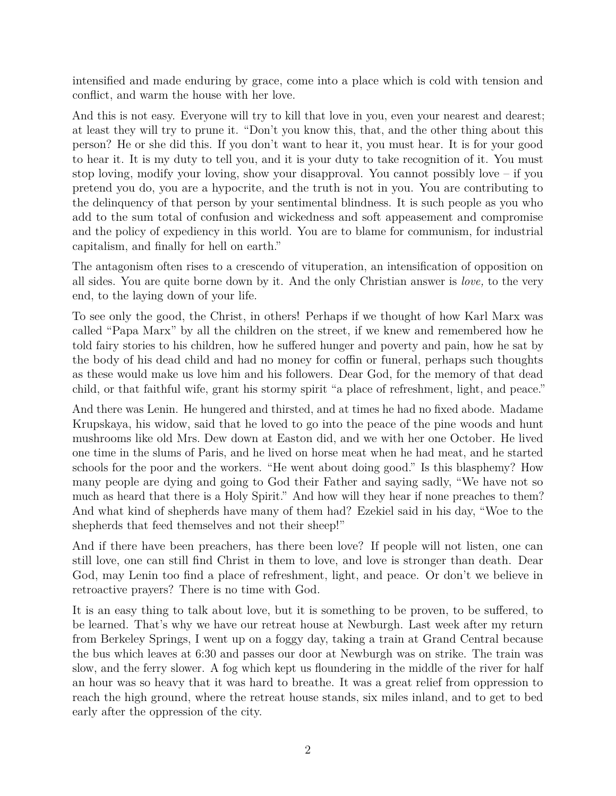intensified and made enduring by grace, come into a place which is cold with tension and conflict, and warm the house with her love.

And this is not easy. Everyone will try to kill that love in you, even your nearest and dearest; at least they will try to prune it. "Don't you know this, that, and the other thing about this person? He or she did this. If you don't want to hear it, you must hear. It is for your good to hear it. It is my duty to tell you, and it is your duty to take recognition of it. You must stop loving, modify your loving, show your disapproval. You cannot possibly love  $-$  if you pretend you do, you are a hypocrite, and the truth is not in you. You are contributing to the delinquency of that person by your sentimental blindness. It is such people as you who add to the sum total of confusion and wickedness and soft appeasement and compromise and the policy of expediency in this world. You are to blame for communism, for industrial capitalism, and finally for hell on earth."

The antagonism often rises to a crescendo of vituperation, an intensification of opposition on all sides. You are quite borne down by it. And the only Christian answer is *love,* to the very end, to the laying down of your life.

To see only the good, the Christ, in others! Perhaps if we thought of how Karl Marx was called "Papa Marx" by all the children on the street, if we knew and remembered how he told fairy stories to his children, how he suffered hunger and poverty and pain, how he sat by the body of his dead child and had no money for coffin or funeral, perhaps such thoughts as these would make us love him and his followers. Dear God, for the memory of that dead child, or that faithful wife, grant his stormy spirit "a place of refreshment, light, and peace."

And there was Lenin. He hungered and thirsted, and at times he had no fixed abode. Madame Krupskaya, his widow, said that he loved to go into the peace of the pine woods and hunt mushrooms like old Mrs. Dew down at Easton did, and we with her one October. He lived one time in the slums of Paris, and he lived on horse meat when he had meat, and he started schools for the poor and the workers. "He went about doing good." Is this blasphemy? How many people are dying and going to God their Father and saying sadly, "We have not so much as heard that there is a Holy Spirit." And how will they hear if none preaches to them? And what kind of shepherds have many of them had? Ezekiel said in his day, "Woe to the shepherds that feed themselves and not their sheep!"

And if there have been preachers, has there been love? If people will not listen, one can still love, one can still find Christ in them to love, and love is stronger than death. Dear God, may Lenin too find a place of refreshment, light, and peace. Or don't we believe in retroactive prayers? There is no time with God.

It is an easy thing to talk about love, but it is something to be proven, to be suffered, to be learned. That's why we have our retreat house at Newburgh. Last week after my return from Berkeley Springs, I went up on a foggy day, taking a train at Grand Central because the bus which leaves at 6:30 and passes our door at Newburgh was on strike. The train was slow, and the ferry slower. A fog which kept us floundering in the middle of the river for half an hour was so heavy that it was hard to breathe. It was a great relief from oppression to reach the high ground, where the retreat house stands, six miles inland, and to get to bed early after the oppression of the city.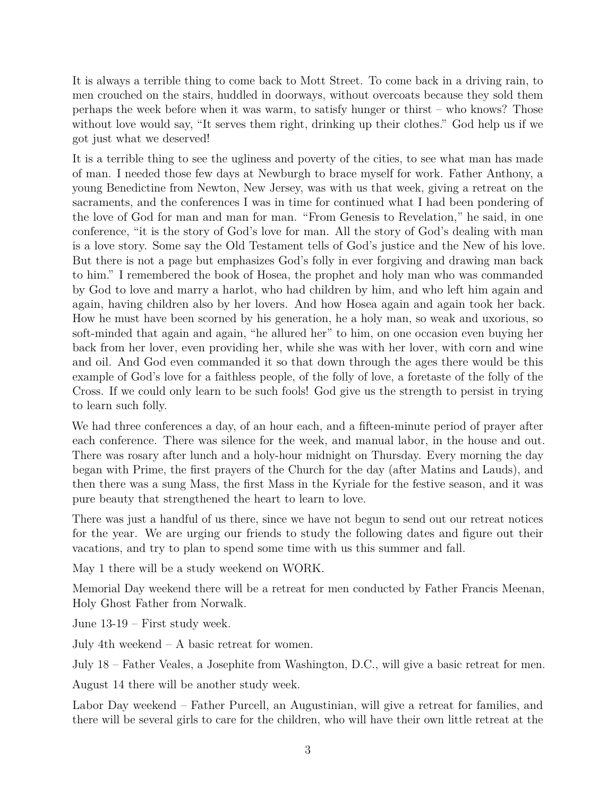It is always a terrible thing to come back to Mott Street. To come back in a driving rain, to men crouched on the stairs, huddled in doorways, without overcoats because they sold them perhaps the week before when it was warm, to satisfy hunger or thirst – who knows? Those without love would say, "It serves them right, drinking up their clothes." God help us if we got just what we deserved!

It is a terrible thing to see the ugliness and poverty of the cities, to see what man has made of man. I needed those few days at Newburgh to brace myself for work. Father Anthony, a young Benedictine from Newton, New Jersey, was with us that week, giving a retreat on the sacraments, and the conferences I was in time for continued what I had been pondering of the love of God for man and man for man. "From Genesis to Revelation," he said, in one conference, "it is the story of God's love for man. All the story of God's dealing with man is a love story. Some say the Old Testament tells of God's justice and the New of his love. But there is not a page but emphasizes God's folly in ever forgiving and drawing man back to him." I remembered the book of Hosea, the prophet and holy man who was commanded by God to love and marry a harlot, who had children by him, and who left him again and again, having children also by her lovers. And how Hosea again and again took her back. How he must have been scorned by his generation, he a holy man, so weak and uxorious, so soft-minded that again and again, "he allured her" to him, on one occasion even buying her back from her lover, even providing her, while she was with her lover, with corn and wine and oil. And God even commanded it so that down through the ages there would be this example of God's love for a faithless people, of the folly of love, a foretaste of the folly of the Cross. If we could only learn to be such fools! God give us the strength to persist in trying to learn such folly.

We had three conferences a day, of an hour each, and a fifteen-minute period of prayer after each conference. There was silence for the week, and manual labor, in the house and out. There was rosary after lunch and a holy-hour midnight on Thursday. Every morning the day began with Prime, the first prayers of the Church for the day (after Matins and Lauds), and then there was a sung Mass, the first Mass in the Kyriale for the festive season, and it was pure beauty that strengthened the heart to learn to love.

There was just a handful of us there, since we have not begun to send out our retreat notices for the year. We are urging our friends to study the following dates and figure out their vacations, and try to plan to spend some time with us this summer and fall.

May 1 there will be a study weekend on WORK.

Memorial Day weekend there will be a retreat for men conducted by Father Francis Meenan, Holy Ghost Father from Norwalk.

June 13-19 – First study week.

July 4th weekend – A basic retreat for women.

July 18 – Father Veales, a Josephite from Washington, D.C., will give a basic retreat for men.

August 14 there will be another study week.

Labor Day weekend – Father Purcell, an Augustinian, will give a retreat for families, and there will be several girls to care for the children, who will have their own little retreat at the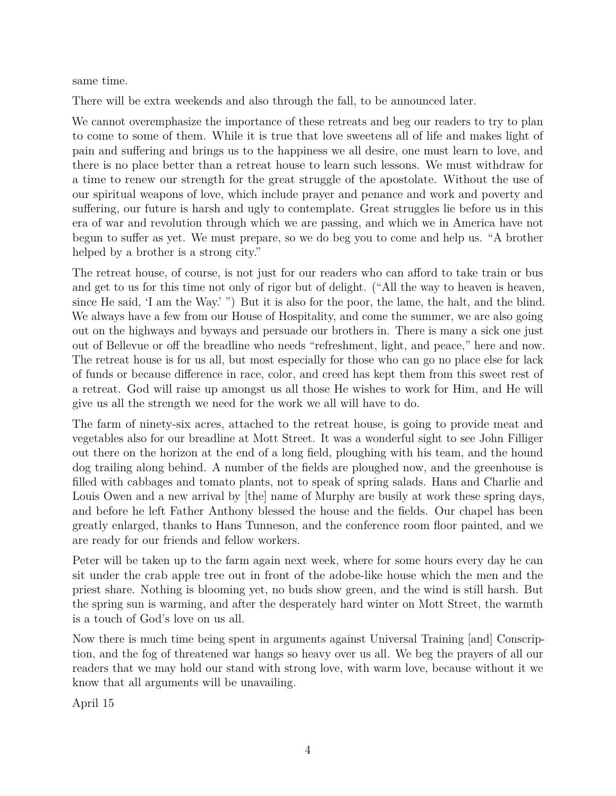same time.

There will be extra weekends and also through the fall, to be announced later.

We cannot overemphasize the importance of these retreats and beg our readers to try to plan to come to some of them. While it is true that love sweetens all of life and makes light of pain and suffering and brings us to the happiness we all desire, one must learn to love, and there is no place better than a retreat house to learn such lessons. We must withdraw for a time to renew our strength for the great struggle of the apostolate. Without the use of our spiritual weapons of love, which include prayer and penance and work and poverty and suffering, our future is harsh and ugly to contemplate. Great struggles lie before us in this era of war and revolution through which we are passing, and which we in America have not begun to suffer as yet. We must prepare, so we do beg you to come and help us. "A brother helped by a brother is a strong city."

The retreat house, of course, is not just for our readers who can afford to take train or bus and get to us for this time not only of rigor but of delight. ("All the way to heaven is heaven, since He said, 'I am the Way.' ") But it is also for the poor, the lame, the halt, and the blind. We always have a few from our House of Hospitality, and come the summer, we are also going out on the highways and byways and persuade our brothers in. There is many a sick one just out of Bellevue or off the breadline who needs "refreshment, light, and peace," here and now. The retreat house is for us all, but most especially for those who can go no place else for lack of funds or because difference in race, color, and creed has kept them from this sweet rest of a retreat. God will raise up amongst us all those He wishes to work for Him, and He will give us all the strength we need for the work we all will have to do.

The farm of ninety-six acres, attached to the retreat house, is going to provide meat and vegetables also for our breadline at Mott Street. It was a wonderful sight to see John Filliger out there on the horizon at the end of a long field, ploughing with his team, and the hound dog trailing along behind. A number of the fields are ploughed now, and the greenhouse is filled with cabbages and tomato plants, not to speak of spring salads. Hans and Charlie and Louis Owen and a new arrival by [the] name of Murphy are busily at work these spring days, and before he left Father Anthony blessed the house and the fields. Our chapel has been greatly enlarged, thanks to Hans Tunneson, and the conference room floor painted, and we are ready for our friends and fellow workers.

Peter will be taken up to the farm again next week, where for some hours every day he can sit under the crab apple tree out in front of the adobe-like house which the men and the priest share. Nothing is blooming yet, no buds show green, and the wind is still harsh. But the spring sun is warming, and after the desperately hard winter on Mott Street, the warmth is a touch of God's love on us all.

Now there is much time being spent in arguments against Universal Training [and] Conscription, and the fog of threatened war hangs so heavy over us all. We beg the prayers of all our readers that we may hold our stand with strong love, with warm love, because without it we know that all arguments will be unavailing.

April 15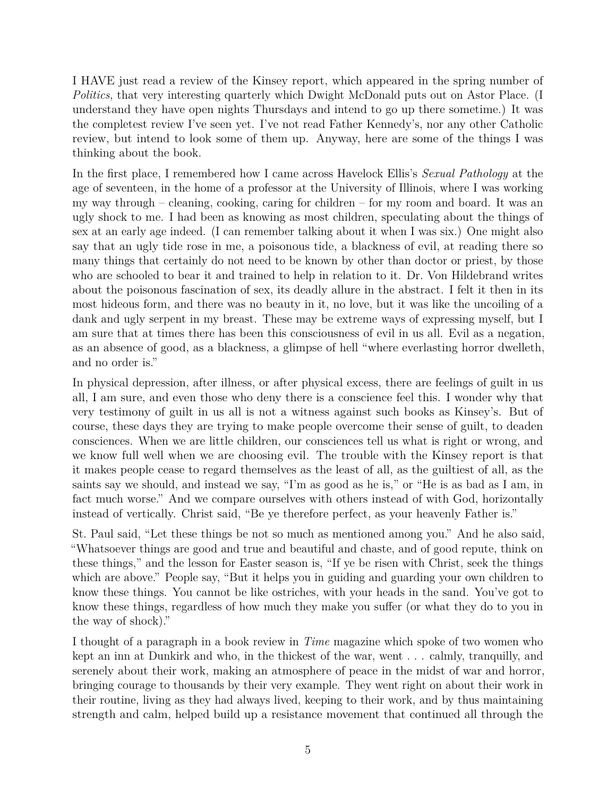I HAVE just read a review of the Kinsey report, which appeared in the spring number of *Politics,* that very interesting quarterly which Dwight McDonald puts out on Astor Place. (I understand they have open nights Thursdays and intend to go up there sometime.) It was the completest review I've seen yet. I've not read Father Kennedy's, nor any other Catholic review, but intend to look some of them up. Anyway, here are some of the things I was thinking about the book.

In the first place, I remembered how I came across Havelock Ellis's *Sexual Pathology* at the age of seventeen, in the home of a professor at the University of Illinois, where I was working my way through – cleaning, cooking, caring for children – for my room and board. It was an ugly shock to me. I had been as knowing as most children, speculating about the things of sex at an early age indeed. (I can remember talking about it when I was six.) One might also say that an ugly tide rose in me, a poisonous tide, a blackness of evil, at reading there so many things that certainly do not need to be known by other than doctor or priest, by those who are schooled to bear it and trained to help in relation to it. Dr. Von Hildebrand writes about the poisonous fascination of sex, its deadly allure in the abstract. I felt it then in its most hideous form, and there was no beauty in it, no love, but it was like the uncoiling of a dank and ugly serpent in my breast. These may be extreme ways of expressing myself, but I am sure that at times there has been this consciousness of evil in us all. Evil as a negation, as an absence of good, as a blackness, a glimpse of hell "where everlasting horror dwelleth, and no order is."

In physical depression, after illness, or after physical excess, there are feelings of guilt in us all, I am sure, and even those who deny there is a conscience feel this. I wonder why that very testimony of guilt in us all is not a witness against such books as Kinsey's. But of course, these days they are trying to make people overcome their sense of guilt, to deaden consciences. When we are little children, our consciences tell us what is right or wrong, and we know full well when we are choosing evil. The trouble with the Kinsey report is that it makes people cease to regard themselves as the least of all, as the guiltiest of all, as the saints say we should, and instead we say, "I'm as good as he is," or "He is as bad as I am, in fact much worse." And we compare ourselves with others instead of with God, horizontally instead of vertically. Christ said, "Be ye therefore perfect, as your heavenly Father is."

St. Paul said, "Let these things be not so much as mentioned among you." And he also said, "Whatsoever things are good and true and beautiful and chaste, and of good repute, think on these things," and the lesson for Easter season is, "If ye be risen with Christ, seek the things which are above." People say, "But it helps you in guiding and guarding your own children to know these things. You cannot be like ostriches, with your heads in the sand. You've got to know these things, regardless of how much they make you suffer (or what they do to you in the way of shock)."

I thought of a paragraph in a book review in *Time* magazine which spoke of two women who kept an inn at Dunkirk and who, in the thickest of the war, went . . . calmly, tranquilly, and serenely about their work, making an atmosphere of peace in the midst of war and horror, bringing courage to thousands by their very example. They went right on about their work in their routine, living as they had always lived, keeping to their work, and by thus maintaining strength and calm, helped build up a resistance movement that continued all through the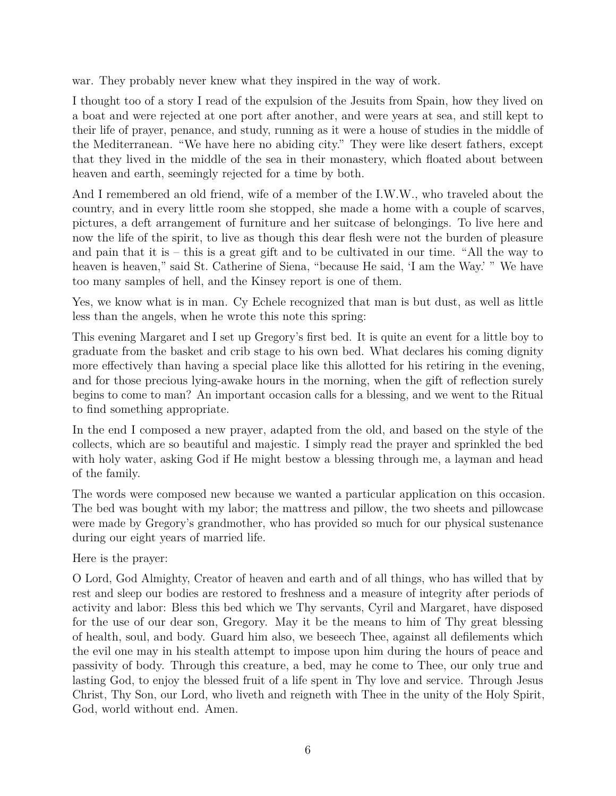war. They probably never knew what they inspired in the way of work.

I thought too of a story I read of the expulsion of the Jesuits from Spain, how they lived on a boat and were rejected at one port after another, and were years at sea, and still kept to their life of prayer, penance, and study, running as it were a house of studies in the middle of the Mediterranean. "We have here no abiding city." They were like desert fathers, except that they lived in the middle of the sea in their monastery, which floated about between heaven and earth, seemingly rejected for a time by both.

And I remembered an old friend, wife of a member of the I.W.W., who traveled about the country, and in every little room she stopped, she made a home with a couple of scarves, pictures, a deft arrangement of furniture and her suitcase of belongings. To live here and now the life of the spirit, to live as though this dear flesh were not the burden of pleasure and pain that it is – this is a great gift and to be cultivated in our time. "All the way to heaven is heaven," said St. Catherine of Siena, "because He said, 'I am the Way.' " We have too many samples of hell, and the Kinsey report is one of them.

Yes, we know what is in man. Cy Echele recognized that man is but dust, as well as little less than the angels, when he wrote this note this spring:

This evening Margaret and I set up Gregory's first bed. It is quite an event for a little boy to graduate from the basket and crib stage to his own bed. What declares his coming dignity more effectively than having a special place like this allotted for his retiring in the evening, and for those precious lying-awake hours in the morning, when the gift of reflection surely begins to come to man? An important occasion calls for a blessing, and we went to the Ritual to find something appropriate.

In the end I composed a new prayer, adapted from the old, and based on the style of the collects, which are so beautiful and majestic. I simply read the prayer and sprinkled the bed with holy water, asking God if He might bestow a blessing through me, a layman and head of the family.

The words were composed new because we wanted a particular application on this occasion. The bed was bought with my labor; the mattress and pillow, the two sheets and pillowcase were made by Gregory's grandmother, who has provided so much for our physical sustenance during our eight years of married life.

Here is the prayer:

O Lord, God Almighty, Creator of heaven and earth and of all things, who has willed that by rest and sleep our bodies are restored to freshness and a measure of integrity after periods of activity and labor: Bless this bed which we Thy servants, Cyril and Margaret, have disposed for the use of our dear son, Gregory. May it be the means to him of Thy great blessing of health, soul, and body. Guard him also, we beseech Thee, against all defilements which the evil one may in his stealth attempt to impose upon him during the hours of peace and passivity of body. Through this creature, a bed, may he come to Thee, our only true and lasting God, to enjoy the blessed fruit of a life spent in Thy love and service. Through Jesus Christ, Thy Son, our Lord, who liveth and reigneth with Thee in the unity of the Holy Spirit, God, world without end. Amen.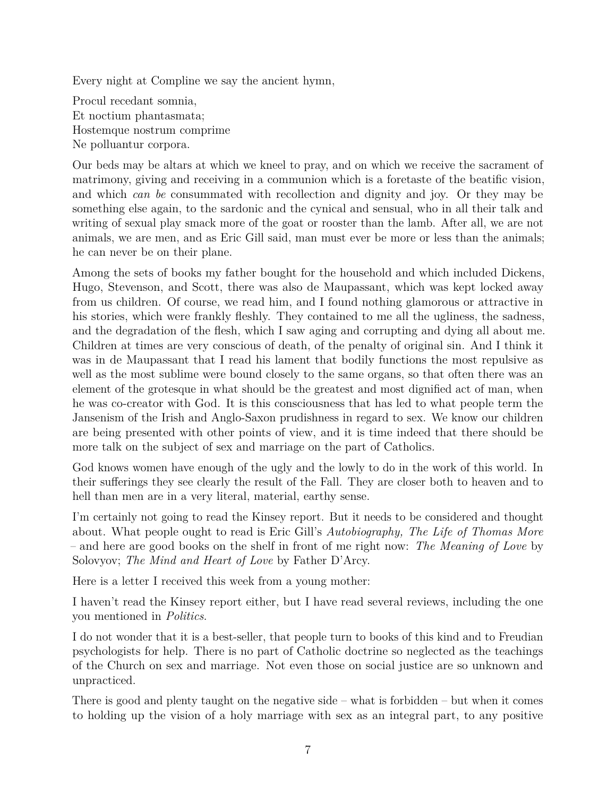Every night at Compline we say the ancient hymn,

Procul recedant somnia, Et noctium phantasmata; Hostemque nostrum comprime Ne polluantur corpora.

Our beds may be altars at which we kneel to pray, and on which we receive the sacrament of matrimony, giving and receiving in a communion which is a foretaste of the beatific vision, and which *can be* consummated with recollection and dignity and joy. Or they may be something else again, to the sardonic and the cynical and sensual, who in all their talk and writing of sexual play smack more of the goat or rooster than the lamb. After all, we are not animals, we are men, and as Eric Gill said, man must ever be more or less than the animals; he can never be on their plane.

Among the sets of books my father bought for the household and which included Dickens, Hugo, Stevenson, and Scott, there was also de Maupassant, which was kept locked away from us children. Of course, we read him, and I found nothing glamorous or attractive in his stories, which were frankly fleshly. They contained to me all the ugliness, the sadness, and the degradation of the flesh, which I saw aging and corrupting and dying all about me. Children at times are very conscious of death, of the penalty of original sin. And I think it was in de Maupassant that I read his lament that bodily functions the most repulsive as well as the most sublime were bound closely to the same organs, so that often there was an element of the grotesque in what should be the greatest and most dignified act of man, when he was co-creator with God. It is this consciousness that has led to what people term the Jansenism of the Irish and Anglo-Saxon prudishness in regard to sex. We know our children are being presented with other points of view, and it is time indeed that there should be more talk on the subject of sex and marriage on the part of Catholics.

God knows women have enough of the ugly and the lowly to do in the work of this world. In their sufferings they see clearly the result of the Fall. They are closer both to heaven and to hell than men are in a very literal, material, earthy sense.

I'm certainly not going to read the Kinsey report. But it needs to be considered and thought about. What people ought to read is Eric Gill's *Autobiography, The Life of Thomas More –* and here are good books on the shelf in front of me right now: *The Meaning of Love* by Solovyov; *The Mind and Heart of Love* by Father D'Arcy.

Here is a letter I received this week from a young mother:

I haven't read the Kinsey report either, but I have read several reviews, including the one you mentioned in *Politics*.

I do not wonder that it is a best-seller, that people turn to books of this kind and to Freudian psychologists for help. There is no part of Catholic doctrine so neglected as the teachings of the Church on sex and marriage. Not even those on social justice are so unknown and unpracticed.

There is good and plenty taught on the negative side – what is forbidden – but when it comes to holding up the vision of a holy marriage with sex as an integral part, to any positive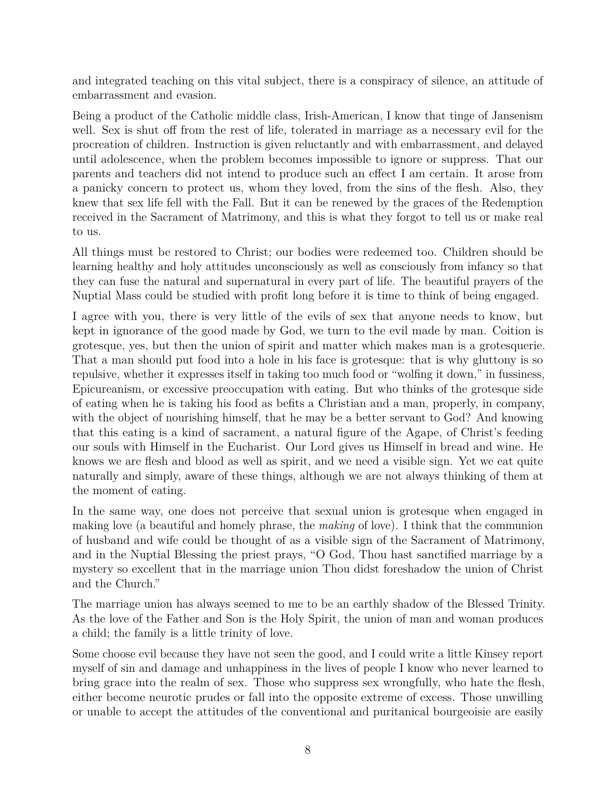and integrated teaching on this vital subject, there is a conspiracy of silence, an attitude of embarrassment and evasion.

Being a product of the Catholic middle class, Irish-American, I know that tinge of Jansenism well. Sex is shut off from the rest of life, tolerated in marriage as a necessary evil for the procreation of children. Instruction is given reluctantly and with embarrassment, and delayed until adolescence, when the problem becomes impossible to ignore or suppress. That our parents and teachers did not intend to produce such an effect I am certain. It arose from a panicky concern to protect us, whom they loved, from the sins of the flesh. Also, they knew that sex life fell with the Fall. But it can be renewed by the graces of the Redemption received in the Sacrament of Matrimony, and this is what they forgot to tell us or make real to us.

All things must be restored to Christ; our bodies were redeemed too. Children should be learning healthy and holy attitudes unconsciously as well as consciously from infancy so that they can fuse the natural and supernatural in every part of life. The beautiful prayers of the Nuptial Mass could be studied with profit long before it is time to think of being engaged.

I agree with you, there is very little of the evils of sex that anyone needs to know, but kept in ignorance of the good made by God, we turn to the evil made by man. Coition is grotesque, yes, but then the union of spirit and matter which makes man is a grotesquerie. That a man should put food into a hole in his face is grotesque: that is why gluttony is so repulsive, whether it expresses itself in taking too much food or "wolfing it down," in fussiness, Epicureanism, or excessive preoccupation with eating. But who thinks of the grotesque side of eating when he is taking his food as befits a Christian and a man, properly, in company, with the object of nourishing himself, that he may be a better servant to God? And knowing that this eating is a kind of sacrament, a natural figure of the Agape, of Christ's feeding our souls with Himself in the Eucharist. Our Lord gives us Himself in bread and wine. He knows we are flesh and blood as well as spirit, and we need a visible sign. Yet we eat quite naturally and simply, aware of these things, although we are not always thinking of them at the moment of eating.

In the same way, one does not perceive that sexual union is grotesque when engaged in making love (a beautiful and homely phrase, the *making* of love). I think that the communion of husband and wife could be thought of as a visible sign of the Sacrament of Matrimony, and in the Nuptial Blessing the priest prays, "O God, Thou hast sanctified marriage by a mystery so excellent that in the marriage union Thou didst foreshadow the union of Christ and the Church."

The marriage union has always seemed to me to be an earthly shadow of the Blessed Trinity. As the love of the Father and Son is the Holy Spirit, the union of man and woman produces a child; the family is a little trinity of love.

Some choose evil because they have not seen the good, and I could write a little Kinsey report myself of sin and damage and unhappiness in the lives of people I know who never learned to bring grace into the realm of sex. Those who suppress sex wrongfully, who hate the flesh, either become neurotic prudes or fall into the opposite extreme of excess. Those unwilling or unable to accept the attitudes of the conventional and puritanical bourgeoisie are easily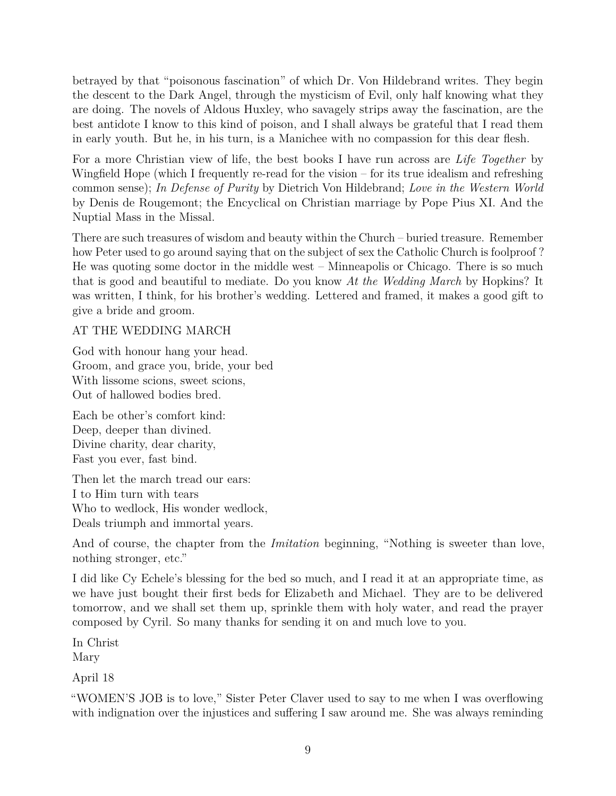betrayed by that "poisonous fascination" of which Dr. Von Hildebrand writes. They begin the descent to the Dark Angel, through the mysticism of Evil, only half knowing what they are doing. The novels of Aldous Huxley, who savagely strips away the fascination, are the best antidote I know to this kind of poison, and I shall always be grateful that I read them in early youth. But he, in his turn, is a Manichee with no compassion for this dear flesh.

For a more Christian view of life, the best books I have run across are *Life Together* by Wingfield Hope (which I frequently re-read for the vision – for its true idealism and refreshing common sense); *In Defense of Purity* by Dietrich Von Hildebrand; *Love in the Western World* by Denis de Rougemont; the Encyclical on Christian marriage by Pope Pius XI. And the Nuptial Mass in the Missal.

There are such treasures of wisdom and beauty within the Church – buried treasure. Remember how Peter used to go around saying that on the subject of sex the Catholic Church is foolproof ? He was quoting some doctor in the middle west – Minneapolis or Chicago. There is so much that is good and beautiful to mediate. Do you know *At the Wedding March* by Hopkins? It was written, I think, for his brother's wedding. Lettered and framed, it makes a good gift to give a bride and groom.

#### AT THE WEDDING MARCH

God with honour hang your head. Groom, and grace you, bride, your bed With lissome scions, sweet scions, Out of hallowed bodies bred.

Each be other's comfort kind: Deep, deeper than divined. Divine charity, dear charity, Fast you ever, fast bind.

Then let the march tread our ears: I to Him turn with tears Who to wedlock, His wonder wedlock, Deals triumph and immortal years.

And of course, the chapter from the *Imitation* beginning, "Nothing is sweeter than love, nothing stronger, etc."

I did like Cy Echele's blessing for the bed so much, and I read it at an appropriate time, as we have just bought their first beds for Elizabeth and Michael. They are to be delivered tomorrow, and we shall set them up, sprinkle them with holy water, and read the prayer composed by Cyril. So many thanks for sending it on and much love to you.

In Christ Mary

April 18

"WOMEN'S JOB is to love," Sister Peter Claver used to say to me when I was overflowing with indignation over the injustices and suffering I saw around me. She was always reminding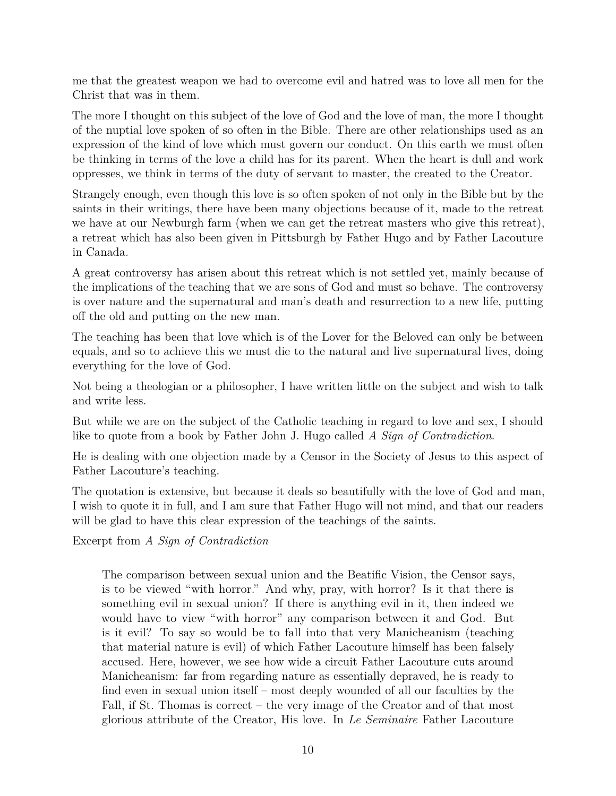me that the greatest weapon we had to overcome evil and hatred was to love all men for the Christ that was in them.

The more I thought on this subject of the love of God and the love of man, the more I thought of the nuptial love spoken of so often in the Bible. There are other relationships used as an expression of the kind of love which must govern our conduct. On this earth we must often be thinking in terms of the love a child has for its parent. When the heart is dull and work oppresses, we think in terms of the duty of servant to master, the created to the Creator.

Strangely enough, even though this love is so often spoken of not only in the Bible but by the saints in their writings, there have been many objections because of it, made to the retreat we have at our Newburgh farm (when we can get the retreat masters who give this retreat), a retreat which has also been given in Pittsburgh by Father Hugo and by Father Lacouture in Canada.

A great controversy has arisen about this retreat which is not settled yet, mainly because of the implications of the teaching that we are sons of God and must so behave. The controversy is over nature and the supernatural and man's death and resurrection to a new life, putting off the old and putting on the new man.

The teaching has been that love which is of the Lover for the Beloved can only be between equals, and so to achieve this we must die to the natural and live supernatural lives, doing everything for the love of God.

Not being a theologian or a philosopher, I have written little on the subject and wish to talk and write less.

But while we are on the subject of the Catholic teaching in regard to love and sex, I should like to quote from a book by Father John J. Hugo called *A Sign of Contradiction*.

He is dealing with one objection made by a Censor in the Society of Jesus to this aspect of Father Lacouture's teaching.

The quotation is extensive, but because it deals so beautifully with the love of God and man, I wish to quote it in full, and I am sure that Father Hugo will not mind, and that our readers will be glad to have this clear expression of the teachings of the saints.

Excerpt from *A Sign of Contradiction*

The comparison between sexual union and the Beatific Vision, the Censor says, is to be viewed "with horror." And why, pray, with horror? Is it that there is something evil in sexual union? If there is anything evil in it, then indeed we would have to view "with horror" any comparison between it and God. But is it evil? To say so would be to fall into that very Manicheanism (teaching that material nature is evil) of which Father Lacouture himself has been falsely accused. Here, however, we see how wide a circuit Father Lacouture cuts around Manicheanism: far from regarding nature as essentially depraved, he is ready to find even in sexual union itself – most deeply wounded of all our faculties by the Fall, if St. Thomas is correct – the very image of the Creator and of that most glorious attribute of the Creator, His love. In *Le Seminaire* Father Lacouture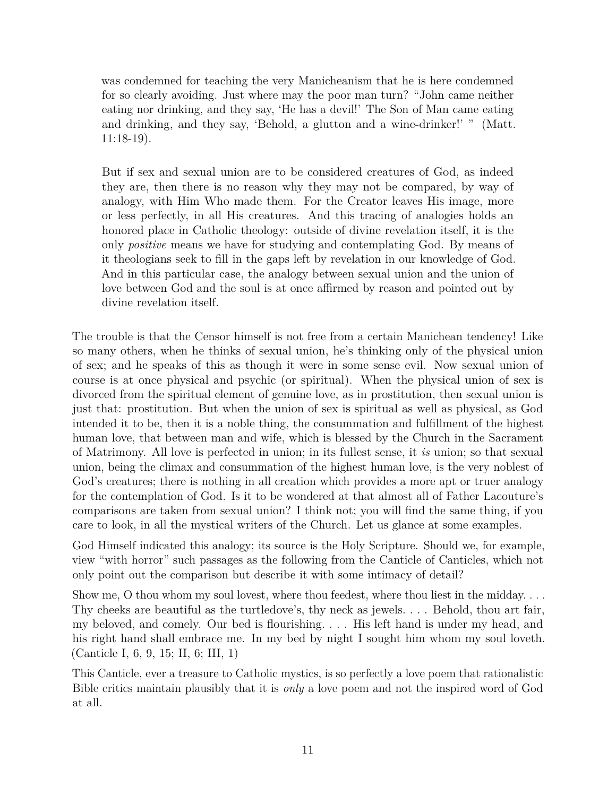was condemned for teaching the very Manicheanism that he is here condemned for so clearly avoiding. Just where may the poor man turn? "John came neither eating nor drinking, and they say, 'He has a devil!' The Son of Man came eating and drinking, and they say, 'Behold, a glutton and a wine-drinker!' " (Matt. 11:18-19).

But if sex and sexual union are to be considered creatures of God, as indeed they are, then there is no reason why they may not be compared, by way of analogy, with Him Who made them. For the Creator leaves His image, more or less perfectly, in all His creatures. And this tracing of analogies holds an honored place in Catholic theology: outside of divine revelation itself, it is the only *positive* means we have for studying and contemplating God. By means of it theologians seek to fill in the gaps left by revelation in our knowledge of God. And in this particular case, the analogy between sexual union and the union of love between God and the soul is at once affirmed by reason and pointed out by divine revelation itself.

The trouble is that the Censor himself is not free from a certain Manichean tendency! Like so many others, when he thinks of sexual union, he's thinking only of the physical union of sex; and he speaks of this as though it were in some sense evil. Now sexual union of course is at once physical and psychic (or spiritual). When the physical union of sex is divorced from the spiritual element of genuine love, as in prostitution, then sexual union is just that: prostitution. But when the union of sex is spiritual as well as physical, as God intended it to be, then it is a noble thing, the consummation and fulfillment of the highest human love, that between man and wife, which is blessed by the Church in the Sacrament of Matrimony. All love is perfected in union; in its fullest sense, it *is* union; so that sexual union, being the climax and consummation of the highest human love, is the very noblest of God's creatures; there is nothing in all creation which provides a more apt or truer analogy for the contemplation of God. Is it to be wondered at that almost all of Father Lacouture's comparisons are taken from sexual union? I think not; you will find the same thing, if you care to look, in all the mystical writers of the Church. Let us glance at some examples.

God Himself indicated this analogy; its source is the Holy Scripture. Should we, for example, view "with horror" such passages as the following from the Canticle of Canticles, which not only point out the comparison but describe it with some intimacy of detail?

Show me, O thou whom my soul lovest, where thou feedest, where thou liest in the midday... Thy cheeks are beautiful as the turtledove's, thy neck as jewels. . . . Behold, thou art fair, my beloved, and comely. Our bed is flourishing. . . . His left hand is under my head, and his right hand shall embrace me. In my bed by night I sought him whom my soul loveth. (Canticle I, 6, 9, 15; II, 6; III, 1)

This Canticle, ever a treasure to Catholic mystics, is so perfectly a love poem that rationalistic Bible critics maintain plausibly that it is *only* a love poem and not the inspired word of God at all.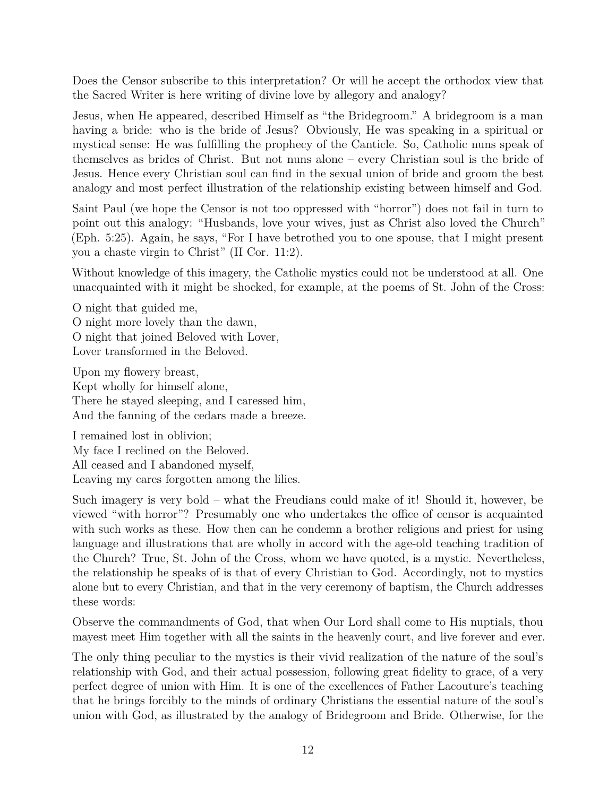Does the Censor subscribe to this interpretation? Or will he accept the orthodox view that the Sacred Writer is here writing of divine love by allegory and analogy?

Jesus, when He appeared, described Himself as "the Bridegroom." A bridegroom is a man having a bride: who is the bride of Jesus? Obviously, He was speaking in a spiritual or mystical sense: He was fulfilling the prophecy of the Canticle. So, Catholic nuns speak of themselves as brides of Christ. But not nuns alone – every Christian soul is the bride of Jesus. Hence every Christian soul can find in the sexual union of bride and groom the best analogy and most perfect illustration of the relationship existing between himself and God.

Saint Paul (we hope the Censor is not too oppressed with "horror") does not fail in turn to point out this analogy: "Husbands, love your wives, just as Christ also loved the Church" (Eph. 5:25). Again, he says, "For I have betrothed you to one spouse, that I might present you a chaste virgin to Christ" (II Cor. 11:2).

Without knowledge of this imagery, the Catholic mystics could not be understood at all. One unacquainted with it might be shocked, for example, at the poems of St. John of the Cross:

O night that guided me, O night more lovely than the dawn, O night that joined Beloved with Lover, Lover transformed in the Beloved.

Upon my flowery breast, Kept wholly for himself alone, There he stayed sleeping, and I caressed him, And the fanning of the cedars made a breeze.

I remained lost in oblivion; My face I reclined on the Beloved. All ceased and I abandoned myself, Leaving my cares forgotten among the lilies.

Such imagery is very bold – what the Freudians could make of it! Should it, however, be viewed "with horror"? Presumably one who undertakes the office of censor is acquainted with such works as these. How then can he condemn a brother religious and priest for using language and illustrations that are wholly in accord with the age-old teaching tradition of the Church? True, St. John of the Cross, whom we have quoted, is a mystic. Nevertheless, the relationship he speaks of is that of every Christian to God. Accordingly, not to mystics alone but to every Christian, and that in the very ceremony of baptism, the Church addresses these words:

Observe the commandments of God, that when Our Lord shall come to His nuptials, thou mayest meet Him together with all the saints in the heavenly court, and live forever and ever.

The only thing peculiar to the mystics is their vivid realization of the nature of the soul's relationship with God, and their actual possession, following great fidelity to grace, of a very perfect degree of union with Him. It is one of the excellences of Father Lacouture's teaching that he brings forcibly to the minds of ordinary Christians the essential nature of the soul's union with God, as illustrated by the analogy of Bridegroom and Bride. Otherwise, for the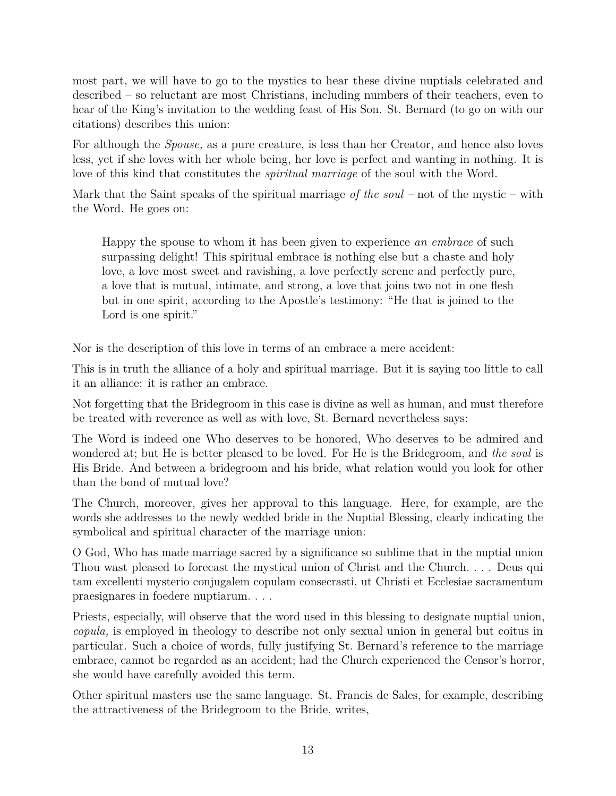most part, we will have to go to the mystics to hear these divine nuptials celebrated and described – so reluctant are most Christians, including numbers of their teachers, even to hear of the King's invitation to the wedding feast of His Son. St. Bernard (to go on with our citations) describes this union:

For although the *Spouse,* as a pure creature, is less than her Creator, and hence also loves less, yet if she loves with her whole being, her love is perfect and wanting in nothing. It is love of this kind that constitutes the *spiritual marriage* of the soul with the Word.

Mark that the Saint speaks of the spiritual marriage *of the soul –* not of the mystic – with the Word. He goes on:

Happy the spouse to whom it has been given to experience *an embrace* of such surpassing delight! This spiritual embrace is nothing else but a chaste and holy love, a love most sweet and ravishing, a love perfectly serene and perfectly pure, a love that is mutual, intimate, and strong, a love that joins two not in one flesh but in one spirit, according to the Apostle's testimony: "He that is joined to the Lord is one spirit."

Nor is the description of this love in terms of an embrace a mere accident:

This is in truth the alliance of a holy and spiritual marriage. But it is saying too little to call it an alliance: it is rather an embrace.

Not forgetting that the Bridegroom in this case is divine as well as human, and must therefore be treated with reverence as well as with love, St. Bernard nevertheless says:

The Word is indeed one Who deserves to be honored, Who deserves to be admired and wondered at; but He is better pleased to be loved. For He is the Bridegroom, and *the soul* is His Bride. And between a bridegroom and his bride, what relation would you look for other than the bond of mutual love?

The Church, moreover, gives her approval to this language. Here, for example, are the words she addresses to the newly wedded bride in the Nuptial Blessing, clearly indicating the symbolical and spiritual character of the marriage union:

O God, Who has made marriage sacred by a significance so sublime that in the nuptial union Thou wast pleased to forecast the mystical union of Christ and the Church. . . . Deus qui tam excellenti mysterio conjugalem copulam consecrasti, ut Christi et Ecclesiae sacramentum praesignares in foedere nuptiarum. . . .

Priests, especially, will observe that the word used in this blessing to designate nuptial union, *copula,* is employed in theology to describe not only sexual union in general but coitus in particular. Such a choice of words, fully justifying St. Bernard's reference to the marriage embrace, cannot be regarded as an accident; had the Church experienced the Censor's horror, she would have carefully avoided this term.

Other spiritual masters use the same language. St. Francis de Sales, for example, describing the attractiveness of the Bridegroom to the Bride, writes,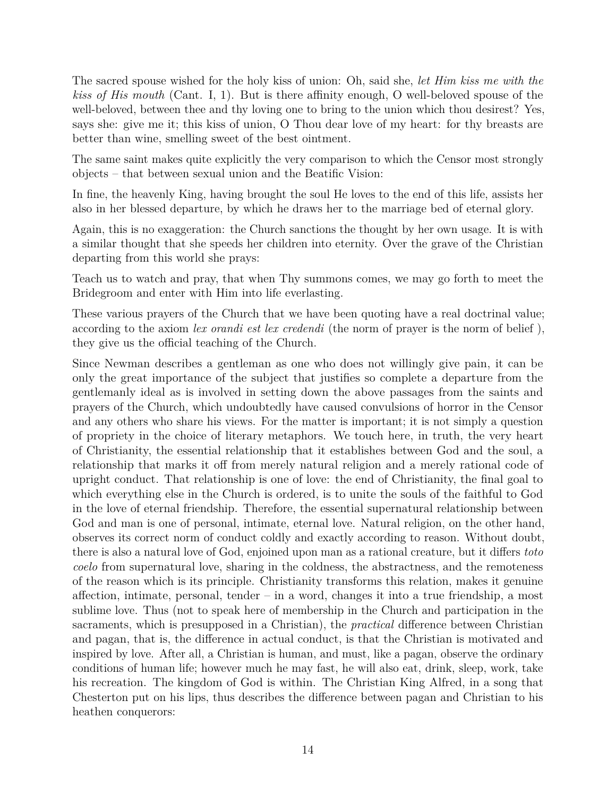The sacred spouse wished for the holy kiss of union: Oh, said she, *let Him kiss me with the kiss of His mouth* (Cant. I, 1). But is there affinity enough, O well-beloved spouse of the well-beloved, between thee and thy loving one to bring to the union which thou desirest? Yes, says she: give me it; this kiss of union, O Thou dear love of my heart: for thy breasts are better than wine, smelling sweet of the best ointment.

The same saint makes quite explicitly the very comparison to which the Censor most strongly objects – that between sexual union and the Beatific Vision:

In fine, the heavenly King, having brought the soul He loves to the end of this life, assists her also in her blessed departure, by which he draws her to the marriage bed of eternal glory.

Again, this is no exaggeration: the Church sanctions the thought by her own usage. It is with a similar thought that she speeds her children into eternity. Over the grave of the Christian departing from this world she prays:

Teach us to watch and pray, that when Thy summons comes, we may go forth to meet the Bridegroom and enter with Him into life everlasting.

These various prayers of the Church that we have been quoting have a real doctrinal value; according to the axiom *lex orandi est lex credendi* (the norm of prayer is the norm of belief ), they give us the official teaching of the Church.

Since Newman describes a gentleman as one who does not willingly give pain, it can be only the great importance of the subject that justifies so complete a departure from the gentlemanly ideal as is involved in setting down the above passages from the saints and prayers of the Church, which undoubtedly have caused convulsions of horror in the Censor and any others who share his views. For the matter is important; it is not simply a question of propriety in the choice of literary metaphors. We touch here, in truth, the very heart of Christianity, the essential relationship that it establishes between God and the soul, a relationship that marks it off from merely natural religion and a merely rational code of upright conduct. That relationship is one of love: the end of Christianity, the final goal to which everything else in the Church is ordered, is to unite the souls of the faithful to God in the love of eternal friendship. Therefore, the essential supernatural relationship between God and man is one of personal, intimate, eternal love. Natural religion, on the other hand, observes its correct norm of conduct coldly and exactly according to reason. Without doubt, there is also a natural love of God, enjoined upon man as a rational creature, but it differs *toto coelo* from supernatural love, sharing in the coldness, the abstractness, and the remoteness of the reason which is its principle. Christianity transforms this relation, makes it genuine affection, intimate, personal, tender – in a word, changes it into a true friendship, a most sublime love. Thus (not to speak here of membership in the Church and participation in the sacraments, which is presupposed in a Christian), the *practical* difference between Christian and pagan, that is, the difference in actual conduct, is that the Christian is motivated and inspired by love. After all, a Christian is human, and must, like a pagan, observe the ordinary conditions of human life; however much he may fast, he will also eat, drink, sleep, work, take his recreation. The kingdom of God is within. The Christian King Alfred, in a song that Chesterton put on his lips, thus describes the difference between pagan and Christian to his heathen conquerors: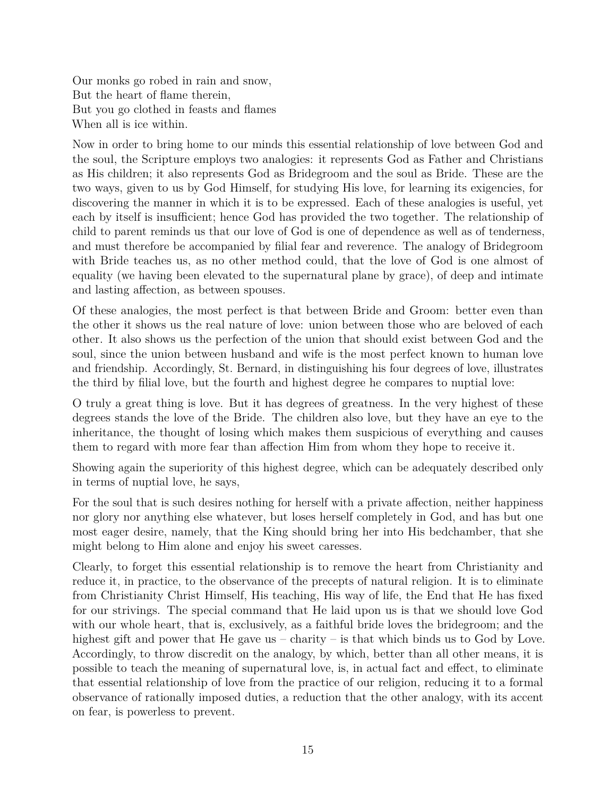Our monks go robed in rain and snow, But the heart of flame therein, But you go clothed in feasts and flames When all is ice within.

Now in order to bring home to our minds this essential relationship of love between God and the soul, the Scripture employs two analogies: it represents God as Father and Christians as His children; it also represents God as Bridegroom and the soul as Bride. These are the two ways, given to us by God Himself, for studying His love, for learning its exigencies, for discovering the manner in which it is to be expressed. Each of these analogies is useful, yet each by itself is insufficient; hence God has provided the two together. The relationship of child to parent reminds us that our love of God is one of dependence as well as of tenderness, and must therefore be accompanied by filial fear and reverence. The analogy of Bridegroom with Bride teaches us, as no other method could, that the love of God is one almost of equality (we having been elevated to the supernatural plane by grace), of deep and intimate and lasting affection, as between spouses.

Of these analogies, the most perfect is that between Bride and Groom: better even than the other it shows us the real nature of love: union between those who are beloved of each other. It also shows us the perfection of the union that should exist between God and the soul, since the union between husband and wife is the most perfect known to human love and friendship. Accordingly, St. Bernard, in distinguishing his four degrees of love, illustrates the third by filial love, but the fourth and highest degree he compares to nuptial love:

O truly a great thing is love. But it has degrees of greatness. In the very highest of these degrees stands the love of the Bride. The children also love, but they have an eye to the inheritance, the thought of losing which makes them suspicious of everything and causes them to regard with more fear than affection Him from whom they hope to receive it.

Showing again the superiority of this highest degree, which can be adequately described only in terms of nuptial love, he says,

For the soul that is such desires nothing for herself with a private affection, neither happiness nor glory nor anything else whatever, but loses herself completely in God, and has but one most eager desire, namely, that the King should bring her into His bedchamber, that she might belong to Him alone and enjoy his sweet caresses.

Clearly, to forget this essential relationship is to remove the heart from Christianity and reduce it, in practice, to the observance of the precepts of natural religion. It is to eliminate from Christianity Christ Himself, His teaching, His way of life, the End that He has fixed for our strivings. The special command that He laid upon us is that we should love God with our whole heart, that is, exclusively, as a faithful bride loves the bridegroom; and the highest gift and power that He gave us – charity – is that which binds us to God by Love. Accordingly, to throw discredit on the analogy, by which, better than all other means, it is possible to teach the meaning of supernatural love, is, in actual fact and effect, to eliminate that essential relationship of love from the practice of our religion, reducing it to a formal observance of rationally imposed duties, a reduction that the other analogy, with its accent on fear, is powerless to prevent.